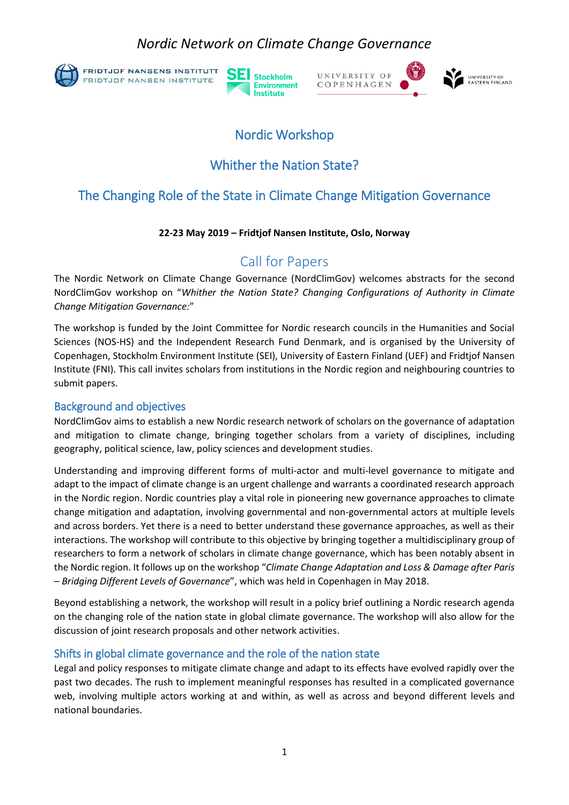### *Nordic Network on Climate Change Governance*



**FRIDTJOF NANSENS INSTITUTT** FRIDTJOF NANSEN INSTITUTE





# Nordic Workshop

### Whither the Nation State?

### The Changing Role of the State in Climate Change Mitigation Governance

#### **22-23 May 2019 – Fridtjof Nansen Institute, Oslo, Norway**

## Call for Papers

The Nordic Network on Climate Change Governance (NordClimGov) welcomes abstracts for the second NordClimGov workshop on "*Whither the Nation State? Changing Configurations of Authority in Climate Change Mitigation Governance:*"

The workshop is funded by the Joint Committee for Nordic research councils in the Humanities and Social Sciences (NOS-HS) and the Independent Research Fund Denmark, and is organised by the University of Copenhagen, Stockholm Environment Institute (SEI), University of Eastern Finland (UEF) and Fridtjof Nansen Institute (FNI). This call invites scholars from institutions in the Nordic region and neighbouring countries to submit papers.

#### Background and objectives

NordClimGov aims to establish a new Nordic research network of scholars on the governance of adaptation and mitigation to climate change, bringing together scholars from a variety of disciplines, including geography, political science, law, policy sciences and development studies.

Understanding and improving different forms of multi-actor and multi-level governance to mitigate and adapt to the impact of climate change is an urgent challenge and warrants a coordinated research approach in the Nordic region. Nordic countries play a vital role in pioneering new governance approaches to climate change mitigation and adaptation, involving governmental and non-governmental actors at multiple levels and across borders. Yet there is a need to better understand these governance approaches, as well as their interactions. The workshop will contribute to this objective by bringing together a multidisciplinary group of researchers to form a network of scholars in climate change governance, which has been notably absent in the Nordic region. It follows up on the workshop "*Climate Change Adaptation and Loss & Damage after Paris – Bridging Different Levels of Governance*", which was held in Copenhagen in May 2018.

Beyond establishing a network, the workshop will result in a policy brief outlining a Nordic research agenda on the changing role of the nation state in global climate governance. The workshop will also allow for the discussion of joint research proposals and other network activities.

### Shifts in global climate governance and the role of the nation state

Legal and policy responses to mitigate climate change and adapt to its effects have evolved rapidly over the past two decades. The rush to implement meaningful responses has resulted in a complicated governance web, involving multiple actors working at and within, as well as across and beyond different levels and national boundaries.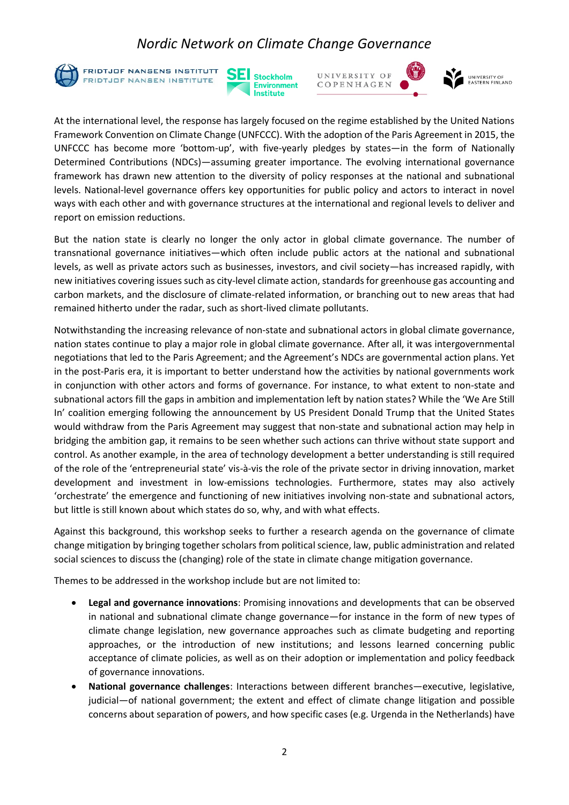### *Nordic Network on Climate Change Governance*



**FRIDTJOF NANSENS INSTITUTT** FRIDTJOF NANSEN INSTITUTE





At the international level, the response has largely focused on the regime established by the United Nations Framework Convention on Climate Change (UNFCCC). With the adoption of the Paris Agreement in 2015, the UNFCCC has become more 'bottom-up', with five-yearly pledges by states—in the form of Nationally Determined Contributions (NDCs)—assuming greater importance. The evolving international governance framework has drawn new attention to the diversity of policy responses at the national and subnational levels. National-level governance offers key opportunities for public policy and actors to interact in novel ways with each other and with governance structures at the international and regional levels to deliver and report on emission reductions.

But the nation state is clearly no longer the only actor in global climate governance. The number of transnational governance initiatives—which often include public actors at the national and subnational levels, as well as private actors such as businesses, investors, and civil society—has increased rapidly, with new initiatives covering issues such as city-level climate action, standards for greenhouse gas accounting and carbon markets, and the disclosure of climate-related information, or branching out to new areas that had remained hitherto under the radar, such as short-lived climate pollutants.

Notwithstanding the increasing relevance of non-state and subnational actors in global climate governance, nation states continue to play a major role in global climate governance. After all, it was intergovernmental negotiations that led to the Paris Agreement; and the Agreement's NDCs are governmental action plans. Yet in the post-Paris era, it is important to better understand how the activities by national governments work in conjunction with other actors and forms of governance. For instance, to what extent to non-state and subnational actors fill the gaps in ambition and implementation left by nation states? While the 'We Are Still In' coalition emerging following the announcement by US President Donald Trump that the United States would withdraw from the Paris Agreement may suggest that non-state and subnational action may help in bridging the ambition gap, it remains to be seen whether such actions can thrive without state support and control. As another example, in the area of technology development a better understanding is still required of the role of the 'entrepreneurial state' vis-à-vis the role of the private sector in driving innovation, market development and investment in low-emissions technologies. Furthermore, states may also actively 'orchestrate' the emergence and functioning of new initiatives involving non-state and subnational actors, but little is still known about which states do so, why, and with what effects.

Against this background, this workshop seeks to further a research agenda on the governance of climate change mitigation by bringing together scholars from political science, law, public administration and related social sciences to discuss the (changing) role of the state in climate change mitigation governance.

Themes to be addressed in the workshop include but are not limited to:

- **Legal and governance innovations**: Promising innovations and developments that can be observed in national and subnational climate change governance—for instance in the form of new types of climate change legislation, new governance approaches such as climate budgeting and reporting approaches, or the introduction of new institutions; and lessons learned concerning public acceptance of climate policies, as well as on their adoption or implementation and policy feedback of governance innovations.
- **National governance challenges**: Interactions between different branches—executive, legislative, judicial—of national government; the extent and effect of climate change litigation and possible concerns about separation of powers, and how specific cases (e.g. Urgenda in the Netherlands) have